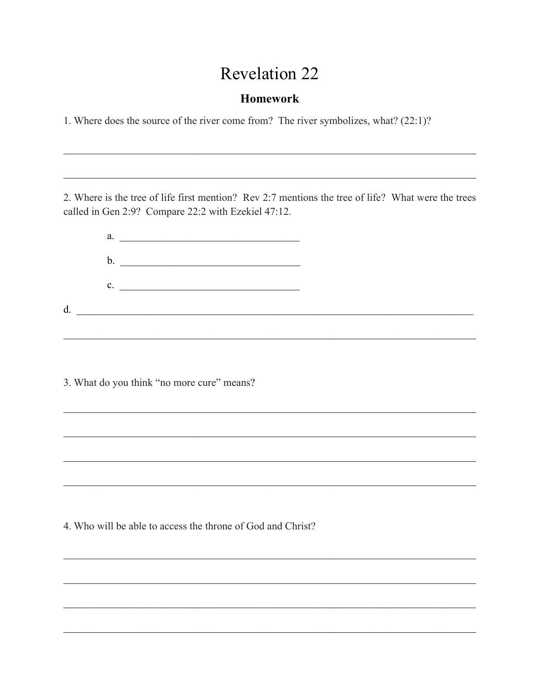## **Revelation 22**

## **Homework**

1. Where does the source of the river come from? The river symbolizes, what? (22:1)?

2. Where is the tree of life first mention? Rev 2:7 mentions the tree of life? What were the trees called in Gen 2:9? Compare 22:2 with Ezekiel 47:12.



4. Who will be able to access the throne of God and Christ?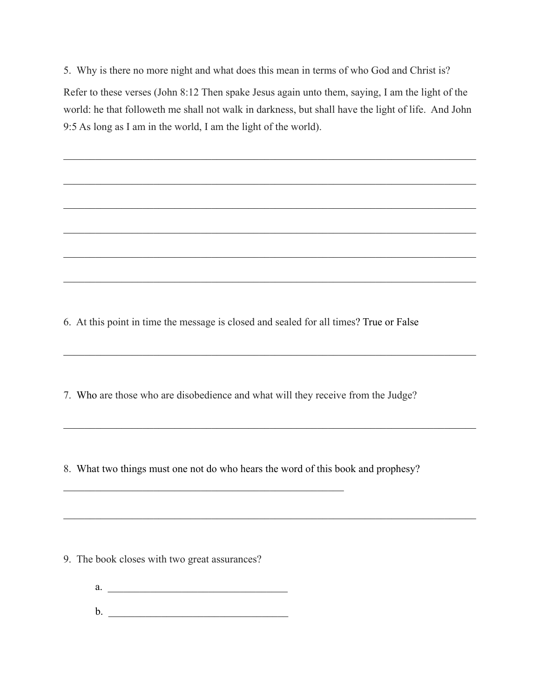5. Why is there no more night and what does this mean in terms of who God and Christ is?

Refer to these verses (John 8:12 Then spake Jesus again unto them, saying, I am the light of the world: he that followeth me shall not walk in darkness, but shall have the light of life. And John 9:5 As long as I am in the world, I am the light of the world).

 $\mathcal{L}_\mathcal{L} = \mathcal{L}_\mathcal{L} = \mathcal{L}_\mathcal{L} = \mathcal{L}_\mathcal{L} = \mathcal{L}_\mathcal{L} = \mathcal{L}_\mathcal{L} = \mathcal{L}_\mathcal{L} = \mathcal{L}_\mathcal{L} = \mathcal{L}_\mathcal{L} = \mathcal{L}_\mathcal{L} = \mathcal{L}_\mathcal{L} = \mathcal{L}_\mathcal{L} = \mathcal{L}_\mathcal{L} = \mathcal{L}_\mathcal{L} = \mathcal{L}_\mathcal{L} = \mathcal{L}_\mathcal{L} = \mathcal{L}_\mathcal{L}$ 

 $\mathcal{L}_\mathcal{L} = \mathcal{L}_\mathcal{L} = \mathcal{L}_\mathcal{L} = \mathcal{L}_\mathcal{L} = \mathcal{L}_\mathcal{L} = \mathcal{L}_\mathcal{L} = \mathcal{L}_\mathcal{L} = \mathcal{L}_\mathcal{L} = \mathcal{L}_\mathcal{L} = \mathcal{L}_\mathcal{L} = \mathcal{L}_\mathcal{L} = \mathcal{L}_\mathcal{L} = \mathcal{L}_\mathcal{L} = \mathcal{L}_\mathcal{L} = \mathcal{L}_\mathcal{L} = \mathcal{L}_\mathcal{L} = \mathcal{L}_\mathcal{L}$ 

 $\mathcal{L}_\mathcal{L} = \mathcal{L}_\mathcal{L} = \mathcal{L}_\mathcal{L} = \mathcal{L}_\mathcal{L} = \mathcal{L}_\mathcal{L} = \mathcal{L}_\mathcal{L} = \mathcal{L}_\mathcal{L} = \mathcal{L}_\mathcal{L} = \mathcal{L}_\mathcal{L} = \mathcal{L}_\mathcal{L} = \mathcal{L}_\mathcal{L} = \mathcal{L}_\mathcal{L} = \mathcal{L}_\mathcal{L} = \mathcal{L}_\mathcal{L} = \mathcal{L}_\mathcal{L} = \mathcal{L}_\mathcal{L} = \mathcal{L}_\mathcal{L}$ 

 $\mathcal{L}_\mathcal{L} = \mathcal{L}_\mathcal{L} = \mathcal{L}_\mathcal{L} = \mathcal{L}_\mathcal{L} = \mathcal{L}_\mathcal{L} = \mathcal{L}_\mathcal{L} = \mathcal{L}_\mathcal{L} = \mathcal{L}_\mathcal{L} = \mathcal{L}_\mathcal{L} = \mathcal{L}_\mathcal{L} = \mathcal{L}_\mathcal{L} = \mathcal{L}_\mathcal{L} = \mathcal{L}_\mathcal{L} = \mathcal{L}_\mathcal{L} = \mathcal{L}_\mathcal{L} = \mathcal{L}_\mathcal{L} = \mathcal{L}_\mathcal{L}$ 

 $\mathcal{L}_\mathcal{L} = \mathcal{L}_\mathcal{L} = \mathcal{L}_\mathcal{L} = \mathcal{L}_\mathcal{L} = \mathcal{L}_\mathcal{L} = \mathcal{L}_\mathcal{L} = \mathcal{L}_\mathcal{L} = \mathcal{L}_\mathcal{L} = \mathcal{L}_\mathcal{L} = \mathcal{L}_\mathcal{L} = \mathcal{L}_\mathcal{L} = \mathcal{L}_\mathcal{L} = \mathcal{L}_\mathcal{L} = \mathcal{L}_\mathcal{L} = \mathcal{L}_\mathcal{L} = \mathcal{L}_\mathcal{L} = \mathcal{L}_\mathcal{L}$ 

 $\mathcal{L}_\mathcal{L} = \{ \mathcal{L}_\mathcal{L} = \{ \mathcal{L}_\mathcal{L} = \{ \mathcal{L}_\mathcal{L} = \{ \mathcal{L}_\mathcal{L} = \{ \mathcal{L}_\mathcal{L} = \{ \mathcal{L}_\mathcal{L} = \{ \mathcal{L}_\mathcal{L} = \{ \mathcal{L}_\mathcal{L} = \{ \mathcal{L}_\mathcal{L} = \{ \mathcal{L}_\mathcal{L} = \{ \mathcal{L}_\mathcal{L} = \{ \mathcal{L}_\mathcal{L} = \{ \mathcal{L}_\mathcal{L} = \{ \mathcal{L}_\mathcal{$ 

 $\mathcal{L}_\mathcal{L} = \mathcal{L}_\mathcal{L} = \mathcal{L}_\mathcal{L} = \mathcal{L}_\mathcal{L} = \mathcal{L}_\mathcal{L} = \mathcal{L}_\mathcal{L} = \mathcal{L}_\mathcal{L} = \mathcal{L}_\mathcal{L} = \mathcal{L}_\mathcal{L} = \mathcal{L}_\mathcal{L} = \mathcal{L}_\mathcal{L} = \mathcal{L}_\mathcal{L} = \mathcal{L}_\mathcal{L} = \mathcal{L}_\mathcal{L} = \mathcal{L}_\mathcal{L} = \mathcal{L}_\mathcal{L} = \mathcal{L}_\mathcal{L}$ 

 $\mathcal{L}_\mathcal{L} = \mathcal{L}_\mathcal{L} = \mathcal{L}_\mathcal{L} = \mathcal{L}_\mathcal{L} = \mathcal{L}_\mathcal{L} = \mathcal{L}_\mathcal{L} = \mathcal{L}_\mathcal{L} = \mathcal{L}_\mathcal{L} = \mathcal{L}_\mathcal{L} = \mathcal{L}_\mathcal{L} = \mathcal{L}_\mathcal{L} = \mathcal{L}_\mathcal{L} = \mathcal{L}_\mathcal{L} = \mathcal{L}_\mathcal{L} = \mathcal{L}_\mathcal{L} = \mathcal{L}_\mathcal{L} = \mathcal{L}_\mathcal{L}$ 

 $\mathcal{L}_\mathcal{L} = \mathcal{L}_\mathcal{L} = \mathcal{L}_\mathcal{L} = \mathcal{L}_\mathcal{L} = \mathcal{L}_\mathcal{L} = \mathcal{L}_\mathcal{L} = \mathcal{L}_\mathcal{L} = \mathcal{L}_\mathcal{L} = \mathcal{L}_\mathcal{L} = \mathcal{L}_\mathcal{L} = \mathcal{L}_\mathcal{L} = \mathcal{L}_\mathcal{L} = \mathcal{L}_\mathcal{L} = \mathcal{L}_\mathcal{L} = \mathcal{L}_\mathcal{L} = \mathcal{L}_\mathcal{L} = \mathcal{L}_\mathcal{L}$ 

6. At this point in time the message is closed and sealed for all times? True or False

7. Who are those who are disobedience and what will they receive from the Judge?

8. What two things must one not do who hears the word of this book and prophesy?

9. The book closes with two great assurances?

 $a.$ b. \_\_\_\_\_\_\_\_\_\_\_\_\_\_\_\_\_\_\_\_\_\_\_\_\_\_\_\_\_\_\_\_\_\_

 $\mathcal{L}_\text{max}$  , and the contract of the contract of the contract of the contract of the contract of the contract of the contract of the contract of the contract of the contract of the contract of the contract of the contr